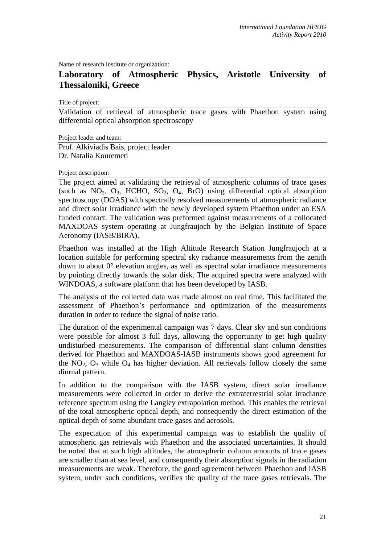Name of research institute or organization:

## **Laboratory of Atmospheric Physics, Aristotle University of Thessaloniki, Greece**

Title of project:

Validation of retrieval of atmospheric trace gases with Phaethon system using differential optical absorption spectroscopy

Project leader and team:

Prof. Alkiviadis Bais, project leader Dr. Natalia Kouremeti

## Project description:

The project aimed at validating the retrieval of atmospheric columns of trace gases (such as  $NO_2$ ,  $O_3$ , HCHO,  $SO_2$ ,  $O_4$ , BrO) using differential optical absorption spectroscopy (DOAS) with spectrally resolved measurements of atmospheric radiance and direct solar irradiance with the newly developed system Phaethon under an ESA funded contact. The validation was preformed against measurements of a collocated MAXDOAS system operating at Jungfraujoch by the Belgian Institute of Space Aeronomy (IASB/BIRA).

Phaethon was installed at the High Altitude Research Station Jungfraujoch at a location suitable for performing spectral sky radiance measurements from the zenith down to about  $0^{\circ}$  elevation angles, as well as spectral solar irradiance measurements by pointing directly towards the solar disk. The acquired spectra were analyzed with WINDOAS, a software platform that has been developed by IASB.

The analysis of the collected data was made almost on real time. This facilitated the assessment of Phaethon's performance and optimization of the measurements duration in order to reduce the signal of noise ratio.

The duration of the experimental campaign was 7 days. Clear sky and sun conditions were possible for almost 3 full days, allowing the opportunity to get high quality undisturbed measurements. The comparison of differential slant column densities derived for Phaethon and MAXDOAS-IASB instruments shows good agreement for the  $NO<sub>2</sub>$ ,  $O<sub>3</sub>$  while  $O<sub>4</sub>$  has higher deviation. All retrievals follow closely the same diurnal pattern.

In addition to the comparison with the IASB system, direct solar irradiance measurements were collected in order to derive the extraterrestrial solar irradiance reference spectrum using the Langley extrapolation method. This enables the retrieval of the total atmospheric optical depth, and consequently the direct estimation of the optical depth of some abundant trace gases and aerosols.

The expectation of this experimental campaign was to establish the quality of atmospheric gas retrievals with Phaethon and the associated uncertainties. It should be noted that at such high altitudes, the atmospheric column amounts of trace gases are smaller than at sea level, and consequently their absorption signals in the radiation measurements are weak. Therefore, the good agreement between Phaethon and IASB system, under such conditions, verifies the quality of the trace gases retrievals. The